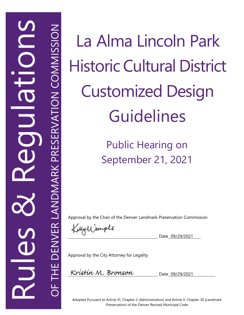Rules<br>Rules  $\infty$ **REGUUIDINA NE DENVER LANDMARK PRESERVATION COMMISSION** 

OF THE DENVER LANDMARK PRESERVATION COMMISSION

 $\overline{O}$ 

La Alma Lincoln Park Historic Cultural District Customized Design **Guidelines** 

> Public Hearing on September 21, 2021

Approval by the Chair of the Denver Landmark Preservation Commission

KillyWemple

Date 09/29/2021

Approval by the City Attorney for Legality

Kristin M. Bronson

Date 09/29/2021

Adopted Pursuant to Article VI, Chapter 2 (Administration) and Article II, Chapter 30 (Landmark Preservation) of the Denver Revised Municipal Code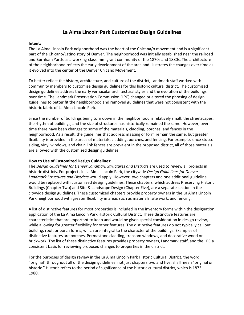## **La Alma Lincoln Park Customized Design Guidelines**

### **Intent:**

The La Alma Lincoln Park neighborhood was the heart of the Chicana/o movement and is a significant part of the Chicano/Latino story of Denver. The neighborhood was initially established near the railroad and Burnham Yards as a working-class immigrant community of the 1870s and 1880s. The architecture of the neighborhood reflects the early development of the area and illustrates the changes over time as it evolved into the center of the Denver Chicano Movement.

To better reflect the history, architecture, and culture of the district, Landmark staff worked with community members to customize design guidelines for this historic cultural district. The customized design guidelines address the early vernacular architectural styles and the evolution of the buildings over time. The Landmark Preservation Commission (LPC) changed or altered the phrasing of design guidelines to better fit the neighborhood and removed guidelines that were not consistent with the historic fabric of La Alma Lincoln Park.

Since the number of buildings being torn down in the neighborhood is relatively small, the streetscapes, the rhythm of buildings, and the size of structures has historically remained the same. However, over time there have been changes to some of the materials, cladding, porches, and fences in the neighborhood. As a result, the guidelines that address massing or form remain the same, but greater flexibility is provided in the areas of materials, cladding, porches, and fencing. For example, since stucco siding, vinyl windows, and chain link fences are prevalent in the proposed district, all of those materials are allowed with the customized design guidelines.

### **How to Use of Customized Design Guidelines:**

The *Design Guidelines for Denver Landmark Structures and Districts* are used to review all projects in historic districts. For projects in La Alma Lincoln Park, the citywide *Design Guidelines for Denver Landmark Structures and Districts* would apply. However, two chapters and one additional guideline would be replaced with customized design guidelines. These chapters, which address Preserving Historic Buildings (Chapter Two) and Site & Landscape Design (Chapter Five), are a separate section in the citywide design guidelines. These customized chapters provide property owners in the La Alma Lincoln Park neighborhood with greater flexibility in areas such as materials, site work, and fencing.

A list of distinctive features for most properties is included in the inventory forms within the designation application of the La Alma Lincoln Park Historic Cultural District. These distinctive features are characteristics that are important to keep and would be given special consideration in design review, while allowing for greater flexibility for other features. The distinctive features do not typically call out building, roof, or porch forms, which are integral to the character of the buildings. Examples of distinctive features are porches, Permastone cladding, transom windows, and decorative wood or brickwork. The list of these distinctive features provides property owners, Landmark staff, and the LPC a consistent basis for reviewing proposed changes to properties in the district.

For the purposes of design review in the La Alma Lincoln Park Historic Cultural District, the word "original" throughout all of the design guidelines, not just chapters two and five, shall mean "original or historic." Historic refers to the period of significance of the historic cultural district, which is 1873 – 1980.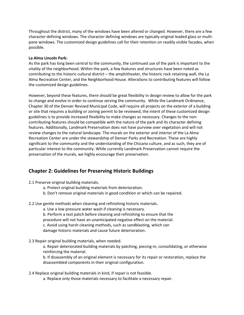Throughout the district, many of the windows have been altered or changed. However, there are a few character defining windows. The character defining windows are typically original leaded glass or multipane windows. The customized design guidelines call for their retention on readily visible facades, when possible.

### **La Alma Lincoln Park:**

As the park has long been central to the community, the continued use of the park is important to the vitality of the neighborhood. Within the park, a few features and structures have been noted as contributing to the historic cultural district – the amphitheater, the historic rock retaining wall, the La Alma Recreation Center, and the Neighborhood House. Alterations to contributing features will follow the customized design guidelines.

However, beyond these features, there should be great flexibility in design review to allow for the park to change and evolve in order to continue serving the community. While the Landmark Ordinance, Chapter 30 of the Denver Revised Municipal Code, will require all projects on the exterior of a building or site that requires a building or zoning permit to be reviewed, the intent of these customized design guidelines is to provide increased flexibility to make changes as necessary. Changes to the noncontributing features should be compatible with the nature of the park and its character defining features. Additionally, Landmark Preservation does not have purview over vegetation and will not review changes to the natural landscape. The murals on the exterior and interior of the La Alma Recreation Center are under the stewardship of Denver Parks and Recreation. These are highly significant to the community and the understanding of the Chicano culture, and as such, they are of particular interest to the community. While currently Landmark Preservation cannot require the preservation of the murals, we highly encourage their preservation.

## **Chapter 2: Guidelines for Preserving Historic Buildings**

2.1 Preserve original building materials.

- a. Protect original building materials from deterioration.
- b. Don't remove original materials in good condition or which can be repaired.

### 2.2 Use gentle methods when cleaning and refinishing historic materials.

- a. Use a low pressure water wash if cleaning is necessary.
- b. Perform a test patch before cleaning and refinishing to ensure that the
- procedure will not have an unanticipated negative effect on the material.
- c. Avoid using harsh cleaning methods, such as sandblasting, which can

damage historic materials and cause future deterioration.

2.3 Repair original building materials, when needed.

a. Repair deteriorated building materials by patching, piecing-in, consolidating, or otherwise reinforcing the material.

b. If disassembly of an original element is necessary for its repair or restoration, replace the disassembled components in their original configuration.

2.4 Replace original building materials in kind, if repair is not feasible.

a. Replace only those materials necessary to facilitate a necessary repair.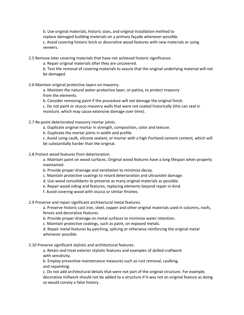b. Use original materials, historic sizes, and original installation method to replace damaged building materials on a primary façade whenever possible. c. Avoid covering historic brick or decorative wood features with new materials or using veneers.

2.5 Remove later covering materials that have not achieved historic significance.

a. Repair original materials after they are uncovered.

b. Test the removal of covering materials to assure that the original underlying material will not be damaged.

2.6 Maintain original protective layers on masonry.

a. Maintain the natural water-protective layer, or patina, to protect masonry from the elements.

b. Consider removing paint if the procedure will not damage the original finish.

c. Do not paint or stucco masonry walls that were not coated historically (this can seal in moisture, which may cause extensive damage over time).

2.7 Re-point deteriorated masonry mortar joints.

a. Duplicate original mortar in strength, composition, color and texture.

b. Duplicate the mortar joints in width and profile.

c. Avoid using caulk, silicone sealant, or mortar with a high Portland cement content, which will be substantially harder than the original.

2.8 Protect wood features from deterioration.

a. Maintain paint on wood surfaces. Original wood features have a long lifespan when properly maintained.

b. Provide proper drainage and ventilation to minimize decay.

c. Maintain protective coatings to retard deterioration and ultraviolet damage.

d. Use wood consolidants to preserve as many original materials as possible.

e. Repair wood siding and features, replacing elements beyond repair in-kind.

f. Avoid covering wood with stucco or similar finishes.

2.9 Preserve and repair significant architectural metal features.

a. Preserve historic cast iron, steel, copper and other original materials used in columns, roofs, fences and decorative features.

b. Provide proper drainage on metal surfaces to minimize water retention.

c. Maintain protective coatings, such as paint, on exposed metals.

d. Repair metal features by patching, splicing or otherwise reinforcing the original metal whenever possible.

2.10 Preserve significant stylistic and architectural features.

a. Retain and treat exterior stylistic features and examples of skilled craftwork with sensitivity.

b. Employ preventive maintenance measures such as rust removal, caulking, and repainting.

c. Do not add architectural details that were not part of the original structure. For example, decorative millwork should not be added to a structure if it was not an original feature as doing so would convey a false history.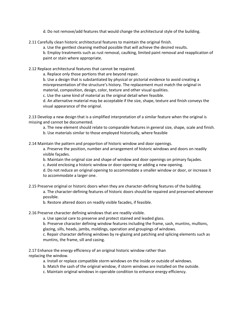- d. Do not remove/add features that would change the architectural style of the building.
- 2.11 Carefully clean historic architectural features to maintain the original finish.

a. Use the gentlest cleaning method possible that will achieve the desired results.

b. Employ treatments such as rust removal, caulking, limited paint removal and reapplication of paint or stain where appropriate.

2.12 Replace architectural features that cannot be repaired.

a. Replace only those portions that are beyond repair.

b. Use a design that is substantiated by physical or pictorial evidence to avoid creating a misrepresentation of the structure's history. The replacement must match the original in material, composition, design, color, texture and other visual qualities.

c. Use the same kind of material as the original detail when feasible.

d. An alternative material may be acceptable if the size, shape, texture and finish conveys the visual appearance of the original.

2.13 Develop a new design that is a simplified interpretation of a similar feature when the original is missing and cannot be documented.

a. The new element should relate to comparable features in general size, shape, scale and finish.

b. Use materials similar to those employed historically, where feasible

2.14 Maintain the pattern and proportion of historic window and door openings.

a. Preserve the position, number and arrangement of historic windows and doors on readily visible façades.

b. Maintain the original size and shape of window and door openings on primary façades.

c. Avoid enclosing a historic window or door opening or adding a new opening.

d. Do not reduce an original opening to accommodate a smaller window or door, or increase it to accommodate a larger one.

2.15 Preserve original or historic doors when they are character-defining features of the building.

a. The character-defining features of historic doors should be repaired and preserved whenever possible.

b. Restore altered doors on readily visible facades, if feasible.

2.16 Preserve character defining windows that are readily visible.

a. Use special care to preserve and protect stained and leaded glass.

b. Preserve character defining window features including the frame, sash, muntins, mullions, glazing, sills, heads, jambs, moldings, operation and groupings of windows.

c. Repair character defining windows by re-glazing and patching and splicing elements such as muntins, the frame, sill and casing.

2.17 Enhance the energy efficiency of an original historic window rather than replacing the window.

a. Install or replace compatible storm windows on the inside or outside of windows.

b. Match the sash of the original window, if storm windows are installed on the outside.

c. Maintain original windows in operable condition to enhance energy efficiency.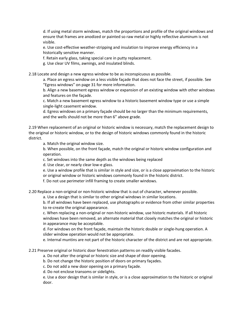d. If using metal storm windows, match the proportions and profile of the original windows and ensure that frames are anodized or painted so raw metal or highly reflective aluminum is not visible.

e. Use cost-effective weather-stripping and insulation to improve energy efficiency in a historically sensitive manner.

f. Retain early glass, taking special care in putty replacement.

g. Use clear UV films, awnings, and insulated blinds.

2.18 Locate and design a new egress window to be as inconspicuous as possible.

a. Place an egress window on a less visible façade that does not face the street, if possible. See "Egress windows" on page 31 for more information.

b. Align a new basement egress window or expansion of an existing window with other windows and features on the façade.

c. Match a new basement egress window to a historic basement window type or use a simple single-light casement window.

d. Egress windows on a primary façade should be no larger than the minimum requirements, and the wells should not be more than 6" above grade.

2.19 When replacement of an original or historic window is necessary, match the replacement design to the original or historic window, or to the design of historic windows commonly found in the historic district.

a. Match the original window size.

b. When possible, on the front façade, match the original or historic window configuration and operation.

c. Set windows into the same depth as the windows being replaced

d. Use clear, or nearly clear low-e glass.

e. Use a window profile that is similar in style and size, or is a close approximation to the historic or original window or historic windows commonly found in the historic district.

f. Do not use perimeter infill framing to create smaller windows.

2.20 Replace a non-original or non-historic window that is out of character, whenever possible.

a. Use a design that is similar to other original windows in similar locations.

b. If all windows have been replaced, use photographs or evidence from other similar properties to re-create the original appearance.

c. When replacing a non-original or non-historic window, use historic materials. If all historic windows have been removed, an alternate material that closely matches the original or historic in appearance may be acceptable.

d. For windows on the front façade, maintain the historic double or single-hung operation. A slider window operation would not be appropriate.

e. Internal muntins are not part of the historic character of the district and are not appropriate.

2.21 Preserve original or historic door fenestration patterns on readily visible facades.

a. Do not alter the original or historic size and shape of door opening.

b. Do not change the historic position of doors on primary façades.

c. Do not add a new door opening on a primary façade.

d. Do not enclose transoms or sidelights.

e. Use a door design that is similar in style, or is a close approximation to the historic or original door.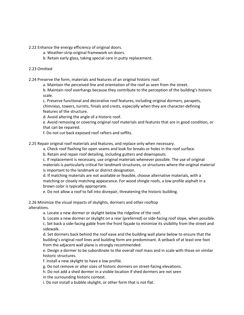2.22 Enhance the energy efficiency of original doors.

- a. Weather-strip original framework on doors.
- b. Retain early glass, taking special care in putty replacement.

### 2.23 Omitted

2.24 Preserve the form, materials and features of an original historic roof.

a. Maintain the perceived line and orientation of the roof as seen from the street.

b. Maintain roof overhangs because they contribute to the perception of the building's historic scale.

c. Preserve functional and decorative roof features, including original dormers, parapets, chimneys, towers, turrets, finials and crests, especially when they are character-defining features of the structure.

d. Avoid altering the angle of a historic roof.

e. Avoid removing or covering original roof materials and features that are in good condition, or that can be repaired.

f. Do not cut back exposed roof rafters and soffits.

2.25 Repair original roof materials and features, and replace only when necessary.

a. Check roof flashing for open seams and look for breaks or holes in the roof surface.

b. Retain and repair roof detailing, including gutters and downspouts.

c. If replacement is necessary, use original materials whenever possible. The use of original materials is particularly critical for landmark structures, or structures where the original material is important to the landmark or district designation.

d. If matching materials are not available or feasible, choose alternative materials, with a matching or closely matching appearance. For wood shingle roofs, a low profile asphalt in a brown color is typically appropriate.

e. Do not allow a roof to fall into disrepair, threatening the historic building.

2.26 Minimize the visual impacts of skylights, dormers and other rooftop alterations.

a. Locate a new dormer or skylight below the ridgeline of the roof.

b. Locate a new dormer or skylight on a rear (preferred) or side-facing roof slope, when possible. c. Set back a side-facing gable from the front façade to minimize its visibility from the street and sidewalk.

d. Set dormers back behind the roof eave and the building wall plane below to ensure that the building's original roof lines and building form are predominant. A setback of at least one foot from the adjacent wall plane is strongly recommended.

e. Design a dormer to be subordinate to the overall roof mass and in scale with those on similar historic structures.

f. Install a new skylight to have a low profile.

g. Do not remove or alter sizes of historic dormers on street-facing elevations.

h. Do not add a shed dormer in a visible location if shed dormers are not seen in the surrounding historic context.

i. Do not install a bubble skylight, or other form that is not flat.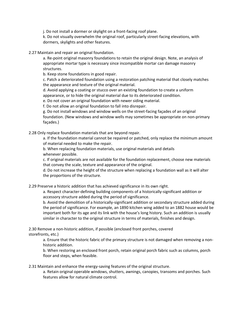j. Do not install a dormer or skylight on a front-facing roof plane.

k. Do not visually overwhelm the original roof, particularly street-facing elevations, with dormers, skylights and other features.

2.27 Maintain and repair an original foundation.

a. Re-point original masonry foundations to retain the original design. Note, an analysis of appropriate mortar type is necessary since incompatible mortar can damage masonry structures.

b. Keep stone foundations in good repair.

c. Patch a deteriorated foundation using a restoration patching material that closely matches the appearance and texture of the original material.

d. Avoid applying a coating or stucco over an existing foundation to create a uniform appearance, or to hide the original material due to its deteriorated condition.

e. Do not cover an original foundation with newer siding material.

f. Do not allow an original foundation to fall into disrepair.

g. Do not install windows and window wells on the street-facing façades of an original foundation. (New windows and window wells may sometimes be appropriate on non-primary façades.)

2.28 Only replace foundation materials that are beyond repair.

a. If the foundation material cannot be repaired or patched, only replace the minimum amount of material needed to make the repair.

b. When replacing foundation materials, use original materials and details whenever possible.

c. If original materials are not available for the foundation replacement, choose new materials that convey the scale, texture and appearance of the original.

d. Do not increase the height of the structure when replacing a foundation wall as it will alter the proportions of the structure.

2.29 Preserve a historic addition that has achieved significance in its own right.

a. Respect character-defining building components of a historically-significant addition or accessory structure added during the period of significance.

b. Avoid the demolition of a historically-significant addition or secondary structure added during the period of significance. For example, an 1890 kitchen wing added to an 1882 house would be important both for its age and its link with the house's long history. Such an addition is usually similar in character to the original structure in terms of materials, finishes and design.

2.30 Remove a non-historic addition, if possible (enclosed front porches, covered storefronts, etc.)

a. Ensure that the historic fabric of the primary structure is not damaged when removing a nonhistoric addition.

b. When restoring an enclosed front porch, retain original porch fabric such as columns, porch floor and steps, when feasible.

2.31 Maintain and enhance the energy-saving features of the original structure.

a. Retain original operable windows, shutters, awnings, canopies, transoms and porches. Such features allow for natural climate control.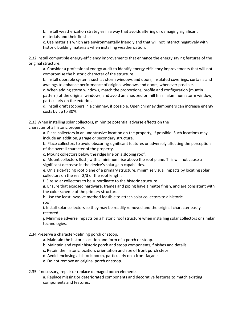b. Install weatherization strategies in a way that avoids altering or damaging significant materials and their finishes.

c. Use materials which are environmentally friendly and that will not interact negatively with historic building materials when installing weatherization.

2.32 Install compatible energy-efficiency improvements that enhance the energy saving features of the original structure.

a. Consider a professional energy audit to identify energy efficiency improvements that will not compromise the historic character of the structure.

b. Install operable systems such as storm windows and doors, insulated coverings, curtains and awnings to enhance performance of original windows and doors, whenever possible.

c. When adding storm windows, match the proportions, profile and configuration (muntin

pattern) of the original windows, and avoid an anodized or mill finish aluminum storm window, particularly on the exterior.

d. Install draft stoppers in a chimney, if possible. Open chimney dampeners can increase energy costs by up to 30%.

2.33 When installing solar collectors, minimize potential adverse effects on the character of a historic property.

> a. Place collectors in an unobtrusive location on the property, if possible. Such locations may include an addition, garage or secondary structure.

b. Place collectors to avoid obscuring significant features or adversely affecting the perception of the overall character of the property.

c. Mount collectors below the ridge line on a sloping roof.

d. Mount collectors flush, with a minimum rise above the roof plane. This will not cause a significant decrease in the device's solar gain capabilities.

e. On a side-facing roof plane of a primary structure, minimize visual impacts by locating solar collectors on the rear 2/3 of the roof length.

f. Size solar collectors to be subordinate to the historic structure.

g. Ensure that exposed hardware, frames and piping have a matte finish, and are consistent with the color scheme of the primary structure.

h. Use the least invasive method feasible to attach solar collectors to a historic roof.

i. Install solar collectors so they may be readily removed and the original character easily restored.

j. Minimize adverse impacts on a historic roof structure when installing solar collectors or similar technologies.

### 2.34 Preserve a character-defining porch or stoop.

- a. Maintain the historic location and form of a porch or stoop.
- b. Maintain and repair historic porch and stoop components, finishes and details.
- c. Retain the historic location, orientation and size of front porch steps.
- d. Avoid enclosing a historic porch, particularly on a front façade.
- e. Do not remove an original porch or stoop.

### 2.35 If necessary, repair or replace damaged porch elements.

a. Replace missing or deteriorated components and decorative features to match existing components and features.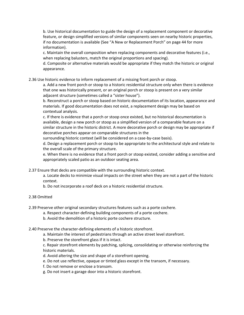b. Use historical documentation to guide the design of a replacement component or decorative feature, or design simplified versions of similar components seen on nearby historic properties, if no documentation is available (See "A New or Replacement Porch" on page 44 for more information).

c. Maintain the overall composition when replacing components and decorative features (i.e., when replacing balusters, match the original proportions and spacing).

d. Composite or alternative materials would be appropriate if they match the historic or original appearance.

2.36 Use historic evidence to inform replacement of a missing front porch or stoop.

a. Add a new front porch or stoop to a historic residential structure only when there is evidence that one was historically present, or an original porch or stoop is present on a very similar adjacent structure (sometimes called a "sister house").

b. Reconstruct a porch or stoop based on historic documentation of its location, appearance and materials. If good documentation does not exist, a replacement design may be based on contextual analysis.

c. If there is evidence that a porch or stoop once existed, but no historical documentation is available, design a new porch or stoop as a simplified version of a comparable feature on a similar structure in the historic district. A more decorative porch or design may be appropriate if decorative porches appear on comparable structures in the

surrounding historic context (will be considered on a case-by-case basis).

d. Design a replacement porch or stoop to be appropriate to the architectural style and relate to the overall scale of the primary structure.

e. When there is no evidence that a front porch or stoop existed, consider adding a sensitive and appropriately scaled patio as an outdoor seating area.

2.37 Ensure that decks are compatible with the surrounding historic context.

a. Locate decks to minimize visual impacts on the street when they are not a part of the historic context.

b. Do not incorporate a roof deck on a historic residential structure.

### 2.38 Omitted

2.39 Preserve other original secondary structures features such as a porte cochere.

a. Respect character-defining building components of a porte cochere.

b. Avoid the demolition of a historic porte cochere structure.

2.40 Preserve the character-defining elements of a historic storefront.

a. Maintain the interest of pedestrians through an active street level storefront.

b. Preserve the storefront glass if it is intact.

c. Repair storefront elements by patching, splicing, consolidating or otherwise reinforcing the historic materials.

d. Avoid altering the size and shape of a storefront opening.

e. Do not use reflective, opaque or tinted glass except in the transom, if necessary.

f. Do not remove or enclose a transom.

g. Do not insert a garage door into a historic storefront.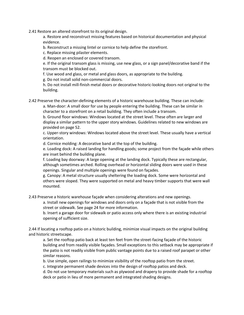2.41 Restore an altered storefront to its original design.

a. Restore and reconstruct missing features based on historical documentation and physical evidence.

b. Reconstruct a missing lintel or cornice to help define the storefront.

c. Replace missing pilaster elements.

d. Reopen an enclosed or covered transom.

e. If the original transom glass is missing, use new glass, or a sign panel/decorative band if the transom must be blocked out.

f. Use wood and glass, or metal and glass doors, as appropriate to the building.

g. Do not install solid non-commercial doors.

h. Do not install mill-finish metal doors or decorative historic-looking doors not original to the building.

2.42 Preserve the character-defining elements of a historic warehouse building. These can include:

a. Man-door: A small door for use by people entering the building. These can be similar in character to a storefront on a retail building. They often include a transom.

b. Ground floor windows: Windows located at the street level. These often are larger and display a similar pattern to the upper story windows. Guidelines related to new windows are provided on page 52.

c. Upper-story windows: Windows located above the street level. These usually have a vertical orientation.

d. Cornice molding: A decorative band at the top of the building.

e. Loading dock: A raised landing for handling goods; some project from the façade while others are inset behind the building plane.

f. Loading bay doorway: A large opening at the landing dock. Typically these are rectangular, although sometimes arched. Rolling overhead or horizontal sliding doors were used in these openings. Singular and multiple openings were found on façades.

g. Canopy: A metal structure usually sheltering the loading dock. Some were horizontal and others were sloped. They were supported on metal and heavy timber supports that were wall mounted.

2.43 Preserve a historic warehouse façade when considering alterations and new openings.

a. Install new openings for windows and doors only on a façade that is not visible from the street or sidewalk. See page 24 for more information.

b. Insert a garage door for sidewalk or patio access only where there is an existing industrial opening of sufficient size.

2.44 If locating a rooftop patio on a historic building, minimize visual impacts on the original building and historic streetscape.

a. Set the rooftop patio back at least ten feet from the street-facing façade of the historic building and from readily visible façades. Small exceptions to this setback may be appropriate if the patio is not readily visible from public vantage points due to a raised roof parapet or other similar reasons.

b. Use simple, open railings to minimize visibility of the rooftop patio from the street.

c. Integrate permanent shade devices into the design of rooftop patios and deck.

d. Do not use temporary materials such as plywood and drapery to provide shade for a rooftop deck or patio in lieu of more permanent and integrated shading designs.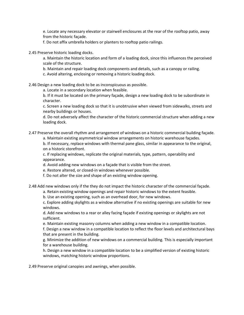e. Locate any necessary elevator or stairwell enclosures at the rear of the rooftop patio, away from the historic façade.

f. Do not affix umbrella holders or planters to rooftop patio railings.

2.45 Preserve historic loading docks.

a. Maintain the historic location and form of a loading dock, since this influences the perceived scale of the structure.

b. Maintain and repair loading dock components and details, such as a canopy or railing.

c. Avoid altering, enclosing or removing a historic loading dock.

2.46 Design a new loading dock to be as inconspicuous as possible.

a. Locate in a secondary location when feasible.

b. If it must be located on the primary façade, design a new loading dock to be subordinate in character.

c. Screen a new loading dock so that it is unobtrusive when viewed from sidewalks, streets and nearby buildings or houses.

d. Do not adversely affect the character of the historic commercial structure when adding a new loading dock.

2.47 Preserve the overall rhythm and arrangement of windows on a historic commercial building façade.

a. Maintain existing asymmetrical window arrangements on historic warehouse façades.

b. If necessary, replace windows with thermal pane glass, similar in appearance to the original, on a historic storefront.

c. If replacing windows, replicate the original materials, type, pattern, operability and appearance.

d. Avoid adding new windows on a façade that is visible from the street.

e. Restore altered, or closed-in windows whenever possible.

f. Do not alter the size and shape of an existing window opening.

2.48 Add new windows only if the they do not impact the historic character of the commercial façade.

a. Retain existing window openings and repair historic windows to the extent feasible.

b. Use an existing opening, such as an overhead door, for new windows.

c. Explore adding skylights as a window alternative if no existing openings are suitable for new windows.

d. Add new windows to a rear or alley facing façade if existing openings or skylights are not sufficient.

e. Maintain existing masonry columns when adding a new window in a compatible location.

f. Design a new window in a compatible location to reflect the floor levels and architectural bays that are present in the building.

g. Minimize the addition of new windows on a commercial building. This is especially important for a warehouse building.

h. Design a new window in a compatible location to be a simplified version of existing historic windows, matching historic window proportions.

2.49 Preserve original canopies and awnings, when possible.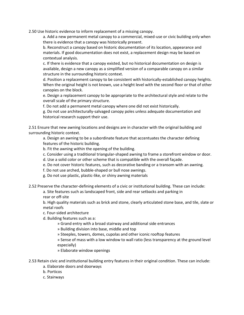2.50 Use historic evidence to inform replacement of a missing canopy.

a. Add a new permanent metal canopy to a commercial, mixed-use or civic building only when there is evidence that a canopy was historically present.

b. Reconstruct a canopy based on historic documentation of its location, appearance and materials. If good documentation does not exist, a replacement design may be based on contextual analysis.

c. If there is evidence that a canopy existed, but no historical documentation on design is available, design a new canopy as a simplified version of a comparable canopy on a similar structure in the surrounding historic context.

d. Position a replacement canopy to be consistent with historically-established canopy heights. When the original height is not known, use a height level with the second floor or that of other canopies on the block.

e. Design a replacement canopy to be appropriate to the architectural style and relate to the overall scale of the primary structure.

f. Do not add a permanent metal canopy where one did not exist historically.

g. Do not use architecturally-salvaged canopy poles unless adequate documentation and historical research support their use.

2.51 Ensure that new awning locations and designs are in character with the original building and surrounding historic context.

a. Design an awning to be a subordinate feature that accentuates the character defining features of the historic building.

b. Fit the awning within the opening of the building.

c. Consider using a traditional triangular-shaped awning to frame a storefront window or door.

d. Use a solid color or other scheme that is compatible with the overall façade.

e. Do not cover historic features, such as decorative banding or a transom with an awning.

f. Do not use arched, bubble-shaped or bull nose awnings.

g. Do not use plastic, plastic-like, or shiny awning materials

2.52 Preserve the character-defining elements of a civic or institutional building. These can include:

a. Site features such as landscaped front, side and rear setbacks and parking in rear or off-site

b. High quality materials such as brick and stone, clearly articulated stone base, and tile, slate or metal roofs

c. Four-sided architecture

d. Building features such as a:

» Grand entry with a broad stairway and additional side entrances

» Building division into base, middle and top

» Steeples, towers, domes, cupolas and other iconic rooftop features

» Sense of mass with a low window to wall ratio (less transparency at the ground level especially)

» Elaborate window openings

2.53 Retain civic and institutional building entry features in their original condition. These can include:

- a. Elaborate doors and doorways
- b. Porticos

c. Stairways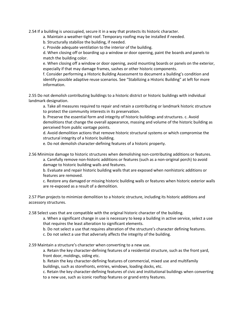2.54 If a building is unoccupied, secure it in a way that protects its historic character.

a. Maintain a weather-tight roof. Temporary roofing may be installed if needed.

b. Structurally stabilize the building, if needed.

c. Provide adequate ventilation to the interior of the building.

d. When closing off or boarding up a window or door opening, paint the boards and panels to match the building color.

e. When closing off a window or door opening, avoid mounting boards or panels on the exterior, especially if that may damage frames, sashes or other historic components.

f. Consider performing a Historic Building Assessment to document a building's condition and identify possible adaptive reuse scenarios. See "Stabilizing a Historic Building" at left for more information.

2.55 Do not demolish contributing buildings to a historic district or historic buildings with individual landmark designation.

a. Take all measures required to repair and retain a contributing or landmark historic structure to protect the community interests in its preservation.

b. Preserve the essential form and integrity of historic buildings and structures. c. Avoid demolitions that change the overall appearance, massing and volume of the historic building as perceived from public vantage points.

d. Avoid demolition actions that remove historic structural systems or which compromise the structural integrity of a historic building.

e. Do not demolish character-defining features of a historic property.

2.56 Minimize damage to historic structures when demolishing non-contributing additions or features.

a. Carefully remove non-historic additions or features (such as a non-original porch) to avoid damage to historic building walls and features.

b. Evaluate and repair historic building walls that are exposed when nonhistoric additions or features are removed.

c. Restore any damaged or missing historic building walls or features when historic exterior walls are re-exposed as a result of a demolition.

2.57 Plan projects to minimize demolition to a historic structure, including its historic additions and accessory structures.

2.58 Select uses that are compatible with the original historic character of the building.

a. When a significant change in use is necessary to keep a building in active service, select a use that requires the least alteration to significant elements.

b. Do not select a use that requires alteration of the structure's character defining features.

c. Do not select a use that adversely affects the integrity of the building.

2.59 Maintain a structure's character when converting to a new use.

a. Retain the key character-defining features of a residential structure, such as the front yard, front door, moldings, siding etc.

b. Retain the key character-defining features of commercial, mixed use and multifamily buildings, such as storefronts, entries, windows, loading docks, etc.

c. Retain the key character-defining features of civic and institutional buildings when converting to a new use, such as iconic rooftop features or grand entry features.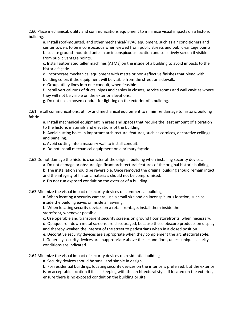2.60 Place mechanical, utility and communications equipment to minimize visual impacts on a historic building.

a. Install roof-mounted, and other mechanical/HVAC equipment, such as air conditioners and center towers to be inconspicuous when viewed from public streets and public vantage points. b. Locate ground-mounted units in an inconspicuous location and sensitively screen if visible from public vantage points.

c. Install automated teller machines (ATMs) on the inside of a building to avoid impacts to the historic façade.

d. Incorporate mechanical equipment with matte or non-reflective finishes that blend with building colors if the equipment will be visible from the street or sidewalk.

e. Group utility lines into one conduit, when feasible.

f. Install vertical runs of ducts, pipes and cables in closets, service rooms and wall cavities where they will not be visible on the exterior elevations.

g. Do not use exposed conduit for lighting on the exterior of a building.

2.61 Install communications, utility and mechanical equipment to minimize damage to historic building fabric.

a. Install mechanical equipment in areas and spaces that require the least amount of alteration to the historic materials and elevations of the building.

b. Avoid cutting holes in important architectural features, such as cornices, decorative ceilings and paneling.

c. Avoid cutting into a masonry wall to install conduit.

d. Do not install mechanical equipment on a primary façade

2.62 Do not damage the historic character of the original building when installing security devices.

a. Do not damage or obscure significant architectural features of the original historic building. b. The installation should be reversible. Once removed the original building should remain intact and the integrity of historic materials should not be compromised.

c. Do not run exposed conduit on the exterior of a building.

2.63 Minimize the visual impact of security devices on commercial buildings.

a. When locating a security camera, use a small size and an inconspicuous location, such as inside the building eaves or inside an awning.

b. When locating security devices on a retail frontage, install them inside the storefront, whenever possible.

c. Use operable and transparent security screens on ground floor storefronts, when necessary. d. Opaque, roll-down metal screens are discouraged, because these obscure products on display and thereby weaken the interest of the street to pedestrians when in a closed position.

e. Decorative security devices are appropriate when they complement the architectural style. f. Generally security devices are inappropriate above the second floor, unless unique security conditions are indicated.

2.64 Minimize the visual impact of security devices on residential buildings.

a. Security devices should be small and simple in design.

b. For residential buildings, locating security devices on the interior is preferred, but the exterior is an acceptable location if it is in keeping with the architectural style. If located on the exterior, ensure there is no exposed conduit on the building or site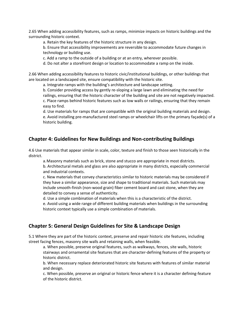2.65 When adding accessibility features, such as ramps, minimize impacts on historic buildings and the surrounding historic context.

a. Retain the key features of the historic structure in any design.

b. Ensure that accessibility improvements are reversible to accommodate future changes in technology or building use.

c. Add a ramp to the outside of a building or at an entry, wherever possible.

d. Do not alter a storefront design or location to accommodate a ramp on the inside.

2.66 When adding accessibility features to historic civic/institutional buildings, or other buildings that are located on a landscaped site, ensure compatibility with the historic site.

a. Integrate ramps with the building's architecture and landscape setting.

b. Consider providing access by gently re-sloping a large lawn and eliminating the need for railings, ensuring that the historic character of the building and site are not negatively impacted. c. Place ramps behind historic features such as low walls or railings, ensuring that they remain easy to find.

d. Use materials for ramps that are compatible with the original building materials and design. e. Avoid installing pre-manufactured steel ramps or wheelchair lifts on the primary façade(s) of a historic building.

# **Chapter 4: Guidelines for New Buildings and Non-contributing Buildings**

4.6 Use materials that appear similar in scale, color, texture and finish to those seen historically in the district.

a.Masonry materials such as brick, stone and stucco are appropriate in most districts.

b. Architectural metals and glass are also appropriate in many districts, especially commercial and industrial contexts.

c. New materials that convey characteristics similar to historic materials may be considered if they have a similar appearance, size and shape to traditional materials. Such materials may include smooth-finish (non-wood grain) fiber cement board and cast stone, when they are detailed to convey a sense of authenticity.

d. Use a simple combination of materials when this is a characteristic of the district.

e. Avoid using a wide range of different building materials when buildings in the surrounding historic context typically use a simple combination of materials.

# **Chapter 5: General Design Guidelines for Site & Landscape Design**

5.1 Where they are part of the historic context, preserve and repair historic site features, including street facing fences, masonry site walls and retaining walls, when feasible.

a. When possible, preserve original features, such as walkways, fences, site walls, historic stairways and ornamental site features that are character-defining features of the property or historic district.

b. When necessary replace deteriorated historic site features with features of similar material and design.

c. When possible, preserve an original or historic fence where it is a character defining-feature of the historic district.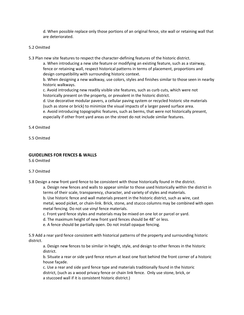d. When possible replace only those portions of an original fence, site wall or retaining wall that are deteriorated.

### 5.2 Omitted

5.3 Plan new site features to respect the character-defining features of the historic district.

a. When introducing a new site feature or modifying an existing feature, such as a stairway, fence or retaining wall, respect historical patterns in terms of placement, proportions and design compatibility with surrounding historic context.

b. When designing a new walkway, use colors, styles and finishes similar to those seen in nearby historic walkways.

c. Avoid introducing new readily visible site features, such as curb cuts, which were not historically present on the property, or prevalent in the historic district.

d. Use decorative modular pavers, a cellular paving system or recycled historic site materials (such as stone or brick) to minimize the visual impacts of a larger paved surface area.

e. Avoid introducing topographic features, such as berms, that were not historically present, especially if other front yard areas on the street do not include similar features.

- 5.4 Omitted
- 5.5 Omitted

### **GUIDELINES FOR FENCES & WALLS**

5.6 Omitted

### 5.7 Omitted

5.8 Design a new front yard fence to be consistent with those historically found in the district.

a. Design new fences and walls to appear similar to those used historically within the district in terms of their scale, transparency, character, and variety of styles and materials.

b. Use historic fence and wall materials present in the historic district, such as wire, cast metal, wood picket, or chain-link. Brick, stone, and stucco columns may be combined with open metal fencing. Do not use vinyl fence materials.

- c. Front yard fence styles and materials may be mixed on one lot or parcel or yard.
- d. The maximum height of new front yard fences should be 48" or less.
- e. A fence should be partially open. Do not install opaque fencing.

5.9 Add a rear yard fence consistent with historical patterns of the property and surrounding historic district.

a. Design new fences to be similar in height, style, and design to other fences in the historic district.

b. Situate a rear or side yard fence return at least one foot behind the front corner of a historic house façade.

c. Use a rear and side yard fence type and materials traditionally found in the historic district, (such as a wood privacy fence or chain link fence. Only use stone, brick, or a stuccoed wall if it is consistent historic district.)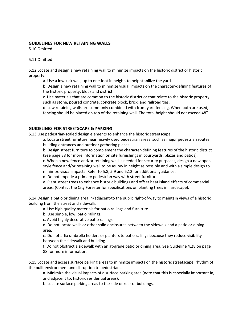### **GUIDELINES FOR NEW RETAINING WALLS**

5.10 Omitted

### 5.11 Omitted

5.12 Locate and design a new retaining wall to minimize impacts on the historic district or historic property.

a. Use a low kick wall, up to one foot in height, to help stabilize the yard.

b. Design a new retaining wall to minimize visual impacts on the character-defining features of the historic property, block and district.

c. Use materials that are common to the historic district or that relate to the historic property, such as stone, poured concrete, concrete block, brick, and railroad ties.

d. Low retaining walls are commonly combined with front yard fencing. When both are used, fencing should be placed on top of the retaining wall. The total height should not exceed 48".

## **GUIDELINES FOR STREETSCAPE & PARKING**

5.13 Use pedestrian-scaled design elements to enhance the historic streetscape.

a. Locate street furniture near heavily used pedestrian areas, such as major pedestrian routes, building entrances and outdoor gathering places.

b. Design street furniture to complement the character-defining features of the historic district (See page 88 for more information on site furnishings in courtyards, plazas and patios).

c. When a new fence and/or retaining wall is needed for security purposes, design a new openstyle fence and/or retaining wall to be as low in height as possible and with a simple design to minimize visual impacts. Refer to 5.8, 5.9 and 5.12 for additional guidance.

d. Do not impede a primary pedestrian way with street furniture.

e. Plant street trees to enhance historic buildings and offset heat island effects of commercial areas. (Contact the City Forester for specifications on planting trees in hardscape).

5.14 Design a patio or dining area in/adjacent-to the public right-of-way to maintain views of a historic building from the street and sidewalk.

a. Use high quality materials for patio railings and furniture.

b. Use simple, low, patio railings.

c. Avoid highly decorative patio railings.

d. Do not locate walls or other solid enclosures between the sidewalk and a patio or dining area.

e. Do not affix umbrella holders or planters to patio railings because they reduce visibility between the sidewalk and building.

f. Do not obstruct a sidewalk with an at-grade patio or dining area. See Guideline 4.28 on page 88 for more information.

5.15 Locate and access surface parking areas to minimize impacts on the historic streetscape, rhythm of the built environment and disruption to pedestrians.

a. Minimize the visual impacts of a surface parking area (note that this is especially important in, and adjacent to, historic residential areas).

b. Locate surface parking areas to the side or rear of buildings.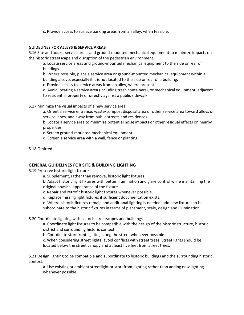c. Provide access to surface parking areas from an alley, when feasible.

#### **GUIDELINES FOR ALLEYS & SERVICE AREAS**

5.16 Site and access service areas and ground-mounted mechanical equipment to minimize impacts on the historic streetscape and disruption of the pedestrian environment.

a. Locate service areas and ground-mounted mechanical equipment to the side or rear of buildings.

b. Where possible, place a service area or ground-mounted mechanical equipment within a building alcove, especially if it is not located to the side or rear of a building.

c. Provide access to service areas from an alley, where present.

d. Avoid locating a service area (including trash containers), or mechanical equipment, adjacent to residential property or directly against a public sidewalk.

5.17 Minimize the visual impacts of a new service area.

a. Orient a service entrance, waste/compost disposal area or other service area toward alleys or service lanes, and away from public streets and residences.

b. Locate a service area to minimize potential noise impacts or other residual effects on nearby properties.

c. Screen ground-mounted mechanical equipment.

d. Screen a service area with a wall, fence or planting.

5.18 Omitted

### **GENERAL GUIDELINES FOR SITE & BUILDING LIGHTING**

5.19 Preserve historic light fixtures.

a. Supplement, rather than remove, historic light fixtures.

b. Adapt historic light fixtures with better illumination and glare control while maintaining the original physical appearance of the fixture.

c. Repair and retrofit historic light fixtures whenever possible.

d. Replace missing light fixtures if sufficient documentation exists.

e. Where historic fixtures remain and additional lighting is needed, add new fixtures to be subordinate to the historic fixtures in terms of placement, scale, design and illumination.

5.20 Coordinate lighting with historic streetscapes and buildings.

a. Coordinate light fixtures to be compatible with the design of the historic structure, historic district and surrounding historic context.

b. Coordinate storefront lighting along the street whenever possible.

c. When considering street lights, avoid conflicts with street trees. Street lights should be located below the street canopy and at least five feet from street trees.

5.21 Design lighting to be compatible and subordinate to historic buildings and the surrounding historic context.

a. Use existing or ambient streetlight or storefront lighting rather than adding new lighting whenever possible.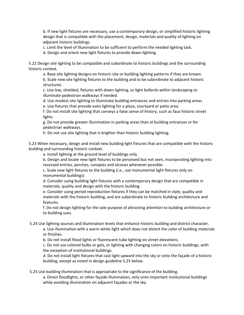b. If new light fixtures are necessary, use a contemporary design, or simplified historic lighting design that is compatible with the placement, design, materials and quality of lighting on adjacent historic buildings.

c. Limit the level of illumination to be sufficient to perform the needed lighting task.

d. Design and orient new light fixtures to provide down-lighting.

5.22 Design site lighting to be compatible and subordinate to historic buildings and the surrounding historic context.

a. Base site lighting designs on historic site or building lighting patterns if they are known. b. Scale new site lighting fixtures to the building and to be subordinate to adjacent historic structures.

c. Use low, shielded, fixtures with down-lighting, or light bollards within landscaping to illuminate pedestrian walkways if needed.

d. Use modest site lighting to illuminate building entrances and entries into parking areas. e. Use fixtures that provide even lighting for a plaza, courtyard or patio area.

f. Do not install site lighting that conveys a false sense of history, such as faux historic street lights.

g. Do not provide greater illumination in parking areas than at building entrances or for pedestrian walkways.

h. Do not use site lighting that is brighter than historic building lighting.

5.23 When necessary, design and install new building light fixtures that are compatible with the historic building and surrounding historic context.

a. Install lighting at the ground level of buildings only.

b. Design and locate new light fixtures to be perceived but not seen, incorporating lighting into recessed entries, porches, canopies and alcoves whenever possible.

c. Scale new light fixtures to the building (i.e., use monumental light fixtures only on monumental buildings)

d. Consider using building light fixtures with a contemporary design that are compatible in materials, quality and design with the historic building.

e. Consider using period reproduction fixtures if they can be matched in style, quality and materials with the historic building, and are subordinate to historic building architecture and features.

f. Do not design lighting for the sole purpose of attracting attention to building architecture or to building uses.

5.24 Use lighting sources and illumination levels that enhance historic building and district character.

a. Use illumination with a warm white light which does not distort the color of building materials or finishes.

b. Do not install flood lights or fluorescent tube lighting on street elevations.

c. Do not use colored bulbs or gels, or lighting with changing colors on historic buildings, with the exception of institutional buildings.

d. Do not install light fixtures that cast light upward into the sky or onto the façade of a historic building, except as noted in design guideline 5.25 below.

5.25 Use building illumination that is appropriate to the significance of the building.

a. Direct floodlights, or other façade illumination, only onto important institutional buildings while avoiding illumination on adjacent façades or the sky.